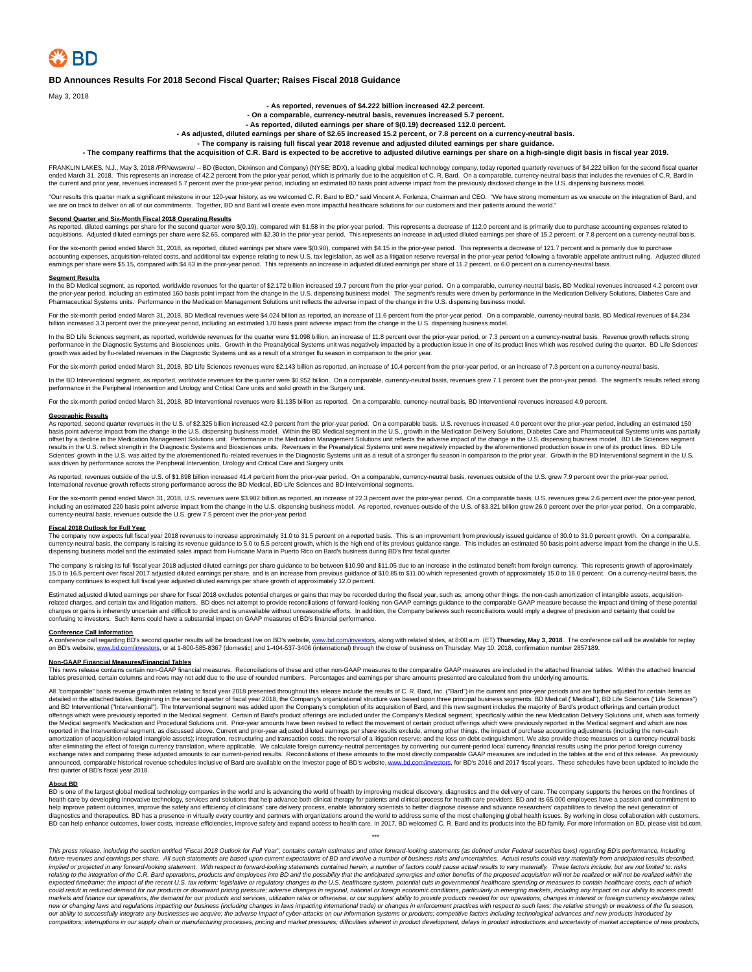### **BD Announces Results For 2018 Second Fiscal Quarter; Raises Fiscal 2018 Guidance**

May 3, 2018

**- As reported, revenues of \$4.222 billion increased 42.2 percent.**

**- On a comparable, currency-neutral basis, revenues increased 5.7 percent.**

### **- As reported, diluted earnings per share of \$(0.19) decreased 112.0 percent.**

**- As adjusted, diluted earnings per share of \$2.65 increased 15.2 percent, or 7.8 percent on a currency-neutral basis.**

### **- The company is raising full fiscal year 2018 revenue and adjusted diluted earnings per share guidance.**

**- The company reaffirms that the acquisition of C.R. Bard is expected to be accretive to adjusted dilutive earnings per share on a high-single digit basis in fiscal year 2019.**

FRANKLIN LAKES, N.J., May 3, 2018 /PRNewswire/ -- BD (Becton, Dickinson and Company) (NYSE: BDX), a leading global medical technology company, today reported quarterly revenues of \$4.222 billion for the second fiscal quart the current and prior year, revenues increased 5.7 percent over the prior-year period, including an estimated 80 basis point adverse impact from the previously disclosed change in the U.S. dispensing business model.

"Our results this quarter mark a significant milestone in our 120-year history, as we welcomed C. R. Bard to BD," said Vincent A. Forlenza, Chairman and CEO. "We have strong momentum as we execute on the integration of Bar

**Second Quarter and Six-Month Fiscal 2018 Operating Results**<br>As reported, diluted earnings per share ond quarter were \$(0.19), compared with \$1.58 in the prior-year period. This represents a decrease of 112.0 percent and i

For the six-month period ended March 31, 2018, as reported, diluted earnings per share were \$(0.90), compared with \$4.15 in the prior-year period. This represents a decrease of 121.7 percent and is primarily due to purchas earnings per share were \$5.15, compared with \$4.63 in the prior-year period. This represents an increase in adjusted diluted earnings per share of 11.2 percent, or 6.0 percent on a currency-neutral basis.

Segment Results<br>In the BD Medical segment, as reported, worldwide revenues for the quarter of \$2.172 billion increased 19.7 percent from the prior-year period. On a comparable, currency-neutral basis, BD Medical revenues i the prior-year period, including an estimated 160 basis point impact from the change in the U.S. dispensing business model. The segment's results were driven by performance in the Medication Delivery Solutions, Diabetes Ca

For the six-month period ended March 31, 2018, BD Medical revenues were \$4,024 billion as reported, an increase of 11.6 percent from the prior-year period. On a comparable, currency-neutral basis, BD Medical revenues of \$4 billion increased 3.3 percent over the prior-year period, including an estimated 170 basis point adverse impact from the change in the U.S. dispensing business model.

In the BD Life Sciences segment, as reported, worldwide revenues for the quarter were \$1.098 billion, an increase of 11.8 percent over the prior-year period, or 7.3 percent on a currency-neutral basis. Revenue growth refle performance in the Diagnostic Systems and Biosciences units. Growth in the Preanalytical Systems unit was negatively impacted by a production issue in one of its product lines which was resolved during the quarter. BD Life growth was aided by flu-related revenues in the Diagnostic Systems unit as a result of a stronger flu season in comparison to the prior year.

For the six-month period ended March 31, 2018, BD Life Sciences revenues were \$2.143 billion as reported, an increase of 10.4 percent from the prior-year period, or an increase of 7.3 percent on a currency-neutral basis.

In the BD Interventional segment, as reported, worldwide revenues for the quarter were \$0.952 billion. On a comparable, currency-neutral basis, revenues grew 7.1 percent over the prior-year period. The segment's results re performance in the Peripheral Intervention and Urology and Critical Care units and solid growth in the Surgery unit.

For the six-month period ended March 31, 2018, BD Interventional revenues were \$1.135 billion as reported. On a comparable, currency-neutral basis, BD Interventional revenues increased 4.9 percent.

#### **Geographic Results**

As reported, second quarter revenues in the U.S. of \$2.325 billion increased 42.9 percent from the prior-year period. On a comparable basis, U.S. revenues increased 4.0 percent over the prior-year period, including an esti offset by a decline in the Medication Management Solutions unit. Performance in the Medication Management Solutions unit reflects the adverse impact of the change in the U.S. dispensing business model. BD Life Sciences seg Sciences' growth in the U.S. was aided by the aforementioned flu-related revenues in the Diagnostic Systems unit as a result of a stronger flu season in comparison to the prior year. Growth in the BD Interventional segment was driven by performance across the Peripheral Intervention, Urology and Critical Care and Surgery units.

As reported, revenues outside of the U.S. of \$1.898 billion increased 41.4 percent from the prior-year period. On a comparable, currency-neutral basis, revenues outside of the U.S. grew 7.9 percent over the prior-year peri

For the six-month period ended March 31, 2018, U.S. revenues were \$3.982 billion as reported, an increase of 22.3 percent over the prior-year period. On a comparable basis, U.S. revenues grew 2.6 percent over the prior-yea including an estimated 220 basis point adverse impact from the change in the U.S. dispensing business model. As reported, revenues outside of the U.S. of \$3.321 billion grew 26.0 percent over the prior-year period. On a co

### **Fiscal 2018 Outlook for Full Year**

The company now expects full fiscal year 2018 revenues to increase approximately 31.0 to 31.5 percent on a reported basis. This is an improvement from previously issued guidance of 30.0 to 31.0 percent growth. On a compara

The company is raising its full fiscal year 2018 adjusted diluted earnings per share guidance to be between \$10.90 and \$11.05 due to an increase in the estimated benefit from foreign currency. This represents growth of app company continues to expect full fiscal year adjusted diluted earnings per share growth of approximately 12.0 percent.

Estimated adjusted diluted earnings per share for fiscal 2018 excludes potential charges or gains that may be recorded during the fiscal year, such as, among other things, the non-cash amortization of intangible assets, ac charges or gains is inherently uncertain and difficult to predict and is unavailable without unreasonable efforts. In addition, the Company believes such reconciliations would imply a degree of precision and certainty that confusing to investors. Such items could have a substantial impact on GAAP measures of BD's financial performance.

#### **Conference Call Informat**

A conference call regarding BD's second quarter results will be broadcast live on BD's website, <u>www.bd.com/investors</u>, along with related slides, at 8:00 a.m. (ET) **Thursday, May 3, 2018**. The conference call will be avai

#### **Non-GAAP Financial Measures/Financial Tables**

This news release contains certain non-GAAP financial measures. Reconciliations of these and other non-GAAP measures to the comparable GAAP measures are included in the attached financial tables. Within the attached financ tables presented, certain columns and rows may not add due to the use of rounded numbers. Percentages and earnings per share amounts presented are calculated from the underlying amounts

All "comparable" basis revenue growth rates relating to fiscal year 2018 presented throughout this release include the results of C. R. Bard, Inc. ("Bard") in the current and prior-year periods and are further adjusted for offerings which were previously reported in the Medical segment. Certain of Bard's product offerings are included under the Company's Medical segment, specifically within the new Medication Delivery Solutions unit, which w reported in the Interventional segment, as discussed above. Current and prior-year adjusted diluted earnings per share results exclude, among other things, the impact of purchase accounting adjustments (including the non-c after eliminating the effect of foreign currency translation, where applicable. We calculate foreign currency-neutral percentages by converting our current-period local currency financial results using the prior period for first quarter of BD's fiscal year 2018.

### **About BD**

BD is one of the largest global medical technology companies in the world and bis advancing the world of health by improvints and clinical iscovery, diagnostics and the persignes. By one of the company supports the heress

\*\*\*

This press release, including the section entitled "Fiscal 2018 Outlook for Full Year", contains certain estimates and other forward-looking statements (as defined under Federal securities laws) regarding BD's performance, future revenues and earnings per share. All such statements are based upon current expectations of BD and involve a number of business risks and uncertainties. Actual results could vary materially from anticipated results implied or projected in any forward-looking statement. With respect to forward-looking statements contained herein, a number of factors could cause actual results to vary materially. These factors include, but are not limi relating to the integration of the C.R. Bard operations, products and employees into BD and the possibility that the anticipated synergies and other benefits of the proposed acquisition will not be realized or will not be could result in reduced demand for our products or downward pricing pressure; adverse changes in regional, national or foreign economic conditions, particularly in emerging markets, including any impact on our ability to a new or changing laws and regulations impacting our business (including changes in laws impacting international trade) or changes in enforcement practices with respect to such laws; the relative strength or weakness of the competitors: interruptions in our supply chain or manufacturing processes: pricing and market pressures: difficulties inherent in product development, delays in product introductions and uncertainty of market acceptance of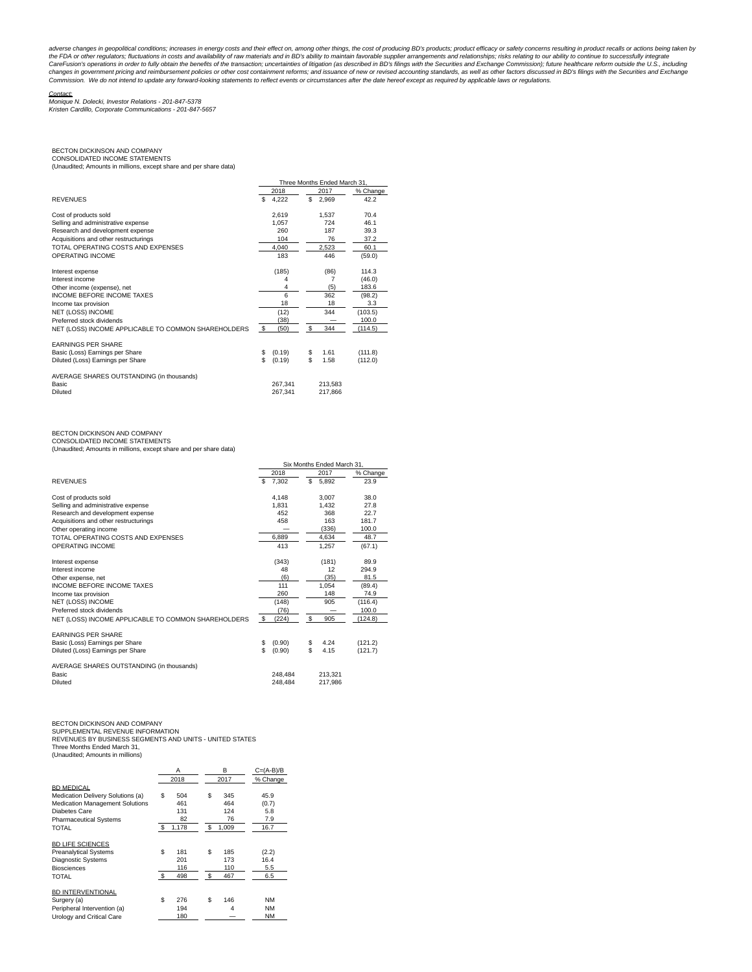adverse changes in geopolitical conditions; increases in energy costs and their effect on, among other things, the cost of producing BD's products; product efficacy or safety concerns resulting in product recalls or action the FDA or other regulators; fluctuations in costs and availability of raw materials and in BD's ability to maintain favorable supplier arrangements and relationships; risks relating to our ability to continue to successfu

Contact: Monique N. Dolecki, Investor Relations - 201-847-5378 Kristen Cardillo, Corporate Communications - 201-847-5657

## BECTON DICKINSON AND COMPANY CONSOLIDATED INCOME STATEMENTS

(Unaudited; Amounts in millions, except share and per share data)

|                                                     |              | Three Months Ended March 31. |          |  |  |  |
|-----------------------------------------------------|--------------|------------------------------|----------|--|--|--|
|                                                     | 2018         | 2017                         | % Change |  |  |  |
| <b>REVENUES</b>                                     | S.<br>4,222  | S<br>2,969                   | 42.2     |  |  |  |
| Cost of products sold                               | 2.619        | 1,537                        | 70.4     |  |  |  |
| Selling and administrative expense                  | 1.057        | 724                          | 46.1     |  |  |  |
| Research and development expense                    | 260          | 187                          | 39.3     |  |  |  |
| Acquisitions and other restructurings               | 104          | 76                           | 37.2     |  |  |  |
| TOTAL OPERATING COSTS AND EXPENSES                  | 4,040        | 2,523                        | 60.1     |  |  |  |
| OPERATING INCOME                                    | 183          | 446                          | (59.0)   |  |  |  |
| Interest expense                                    | (185)        | (86)                         | 114.3    |  |  |  |
| Interest income                                     | 4            | 7                            | (46.0)   |  |  |  |
| Other income (expense), net                         | 4            | (5)                          | 183.6    |  |  |  |
| <b>INCOME BEFORE INCOME TAXES</b>                   | 6            | 362                          | (98.2)   |  |  |  |
| Income tax provision                                | 18           | 18                           | 3.3      |  |  |  |
| NET (LOSS) INCOME                                   | (12)         | 344                          | (103.5)  |  |  |  |
| Preferred stock dividends                           | (38)         |                              | 100.0    |  |  |  |
| NET (LOSS) INCOME APPLICABLE TO COMMON SHAREHOLDERS | \$<br>(50)   | \$<br>344                    | (114.5)  |  |  |  |
| <b>EARNINGS PER SHARE</b>                           |              |                              |          |  |  |  |
| Basic (Loss) Earnings per Share                     | (0.19)<br>\$ | 1.61<br>\$                   | (111.8)  |  |  |  |
| Diluted (Loss) Earnings per Share                   | S<br>(0.19)  | \$.<br>1.58                  | (112.0)  |  |  |  |
| AVERAGE SHARES OUTSTANDING (in thousands)           |              |                              |          |  |  |  |
| Basic                                               | 267.341      | 213.583                      |          |  |  |  |
| Diluted                                             | 267,341      | 217.866                      |          |  |  |  |

### BECTON DICKINSON AND COMPANY

CONSOLIDATED INCOME STATEMENTS (Unaudited; Amounts in millions, except share and per share data)

|                                                     |     | Six Months Ended March 31. |      |         |          |
|-----------------------------------------------------|-----|----------------------------|------|---------|----------|
|                                                     |     | 2018                       |      | 2017    | % Change |
| <b>REVENUES</b>                                     | \$. | 7.302                      | S    | 5.892   | 23.9     |
| Cost of products sold                               |     | 4.148                      |      | 3.007   | 38.0     |
| Selling and administrative expense                  |     | 1.831                      |      | 1.432   | 27.8     |
| Research and development expense                    |     | 452                        |      | 368     | 22.7     |
| Acquisitions and other restructurings               |     | 458                        |      | 163     | 181.7    |
| Other operating income                              |     |                            |      | (336)   | 100.0    |
| TOTAL OPERATING COSTS AND EXPENSES                  |     | 6.889                      |      | 4.634   | 48.7     |
| OPERATING INCOME                                    |     | 413                        |      | 1.257   | (67.1)   |
| Interest expense                                    |     | (343)                      |      | (181)   | 89.9     |
| Interest income                                     |     | 48                         |      | 12      | 294.9    |
| Other expense, net                                  |     | (6)                        |      | (35)    | 81.5     |
| <b>INCOME BEFORE INCOME TAXES</b>                   |     | 111                        |      | 1.054   | (89.4)   |
| Income tax provision                                |     | 260                        |      | 148     | 74.9     |
| <b>NET (LOSS) INCOME</b>                            |     | (148)                      |      | 905     | (116.4)  |
| Preferred stock dividends                           |     | (76)                       |      |         | 100.0    |
| NET (LOSS) INCOME APPLICABLE TO COMMON SHAREHOLDERS | \$  | (224)                      | - \$ | 905     | (124.8)  |
| <b>EARNINGS PER SHARE</b>                           |     |                            |      |         |          |
| Basic (Loss) Earnings per Share                     | \$  | (0.90)                     | \$   | 4.24    | (121.2)  |
| Diluted (Loss) Earnings per Share                   | \$  | (0.90)                     | \$   | 4.15    | (121.7)  |
| AVERAGE SHARES OUTSTANDING (in thousands)           |     |                            |      |         |          |
| Basic                                               |     | 248.484                    |      | 213.321 |          |
| Diluted                                             |     | 248.484                    |      | 217.986 |          |

### BECTON DICKINSON AND COMPANY

SUPPLEMENTAL REVENUE INFORMATION REVENUES BY BUSINESS SEGMENTS AND UNITS - UNITED STATES Three Months Ended March 31,

(Unaudited; Amounts in millions)

|                                        |    | Α     | в           | $C=(A-B)/B$ |  |
|----------------------------------------|----|-------|-------------|-------------|--|
|                                        |    | 2018  | 2017        | % Change    |  |
| <b>BD MEDICAL</b>                      |    |       |             |             |  |
| Medication Delivery Solutions (a)      | \$ | 504   | \$<br>345   | 45.9        |  |
| <b>Medication Management Solutions</b> |    | 461   | 464         | (0.7)       |  |
| Diabetes Care                          |    | 131   | 124         | 5.8         |  |
| <b>Pharmaceutical Systems</b>          |    | 82    | 76          | 7.9         |  |
| TOTAL                                  | -S | 1,178 | \$<br>1.009 | 16.7        |  |
|                                        |    |       |             |             |  |
| <b>BD LIFE SCIENCES</b>                |    |       |             |             |  |
| <b>Preanalytical Systems</b>           | \$ | 181   | \$<br>185   | (2.2)       |  |
| <b>Diagnostic Systems</b>              |    | 201   | 173         | 16.4        |  |
| <b>Biosciences</b>                     |    | 116   | 110         | 5.5         |  |
| TOTAL                                  | -S | 498   | \$<br>467   | 6.5         |  |
|                                        |    |       |             |             |  |
| <b>BD INTERVENTIONAL</b>               |    |       |             |             |  |
| Surgery (a)                            | \$ | 276   | \$<br>146   | <b>NM</b>   |  |
| Peripheral Intervention (a)            |    | 194   | 4           | <b>NM</b>   |  |
| Urology and Critical Care              |    | 180   |             | <b>NM</b>   |  |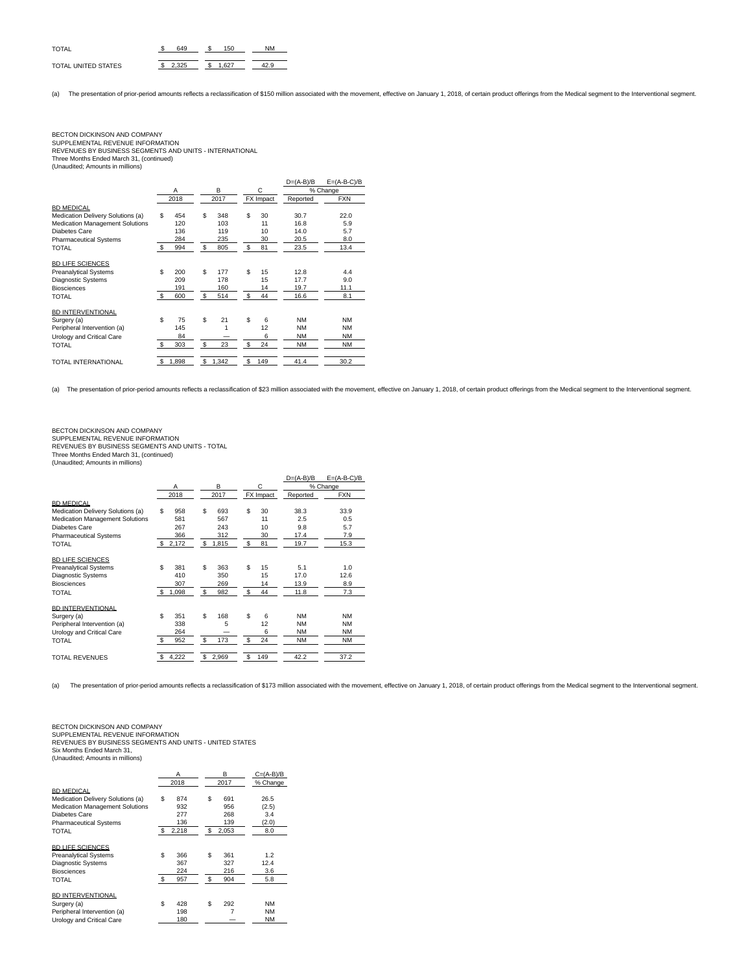| <b>TOTAL</b>        |  | .50 |  |
|---------------------|--|-----|--|
| TOTAL UNITED STATES |  | 927 |  |

(a) The presentation of prior-period amounts reflects a reclassification of \$150 million associated with the movement, effective on January 1, 2018, of certain product offerings from the Medical segment to the Intervention

### BECTON DICKINSON AND COMPANY SUPPLEMENTAL REVENUE INFORMATION REVENUES BY BUSINESS SEGMENTS AND UNITS - INTERNATIONAL Three Months Ended March 31, (continued) (Unaudited; Amounts in millions)

|                                        |    |       |                |       |           | $D=(A-B)/B$ | $E=(A-B-C)/B$ |
|----------------------------------------|----|-------|----------------|-------|-----------|-------------|---------------|
|                                        |    | Α     |                | B     | C         |             | % Change      |
|                                        |    | 2018  |                | 2017  | FX Impact | Reported    | <b>FXN</b>    |
| <b>BD MEDICAL</b>                      |    |       |                |       |           |             |               |
| Medication Delivery Solutions (a)      | S  | 454   | \$             | 348   | \$<br>30  | 30.7        | 22.0          |
| <b>Medication Management Solutions</b> |    | 120   |                | 103   | 11        | 16.8        | 5.9           |
| <b>Diabetes Care</b>                   |    | 136   |                | 119   | 10        | 14.0        | 5.7           |
| <b>Pharmaceutical Systems</b>          |    | 284   |                | 235   | 30        | 20.5        | 8.0           |
| TOTAL                                  | S. | 994   | $\mathfrak{S}$ | 805   | \$<br>81  | 23.5        | 13.4          |
| <b>BD LIFE SCIENCES</b>                |    |       |                |       |           |             |               |
| <b>Preanalytical Systems</b>           | S  | 200   | \$             | 177   | \$<br>15  | 12.8        | 4.4           |
| <b>Diagnostic Systems</b>              |    | 209   |                | 178   | 15        | 17.7        | 9.0           |
| <b>Biosciences</b>                     |    | 191   |                | 160   | 14        | 19.7        | 11.1          |
| TOTAL                                  | S. | 600   | \$             | 514   | \$<br>44  | 16.6        | 8.1           |
| <b>BD INTERVENTIONAL</b>               |    |       |                |       |           |             |               |
| Surgery (a)                            | \$ | 75    | \$             | 21    | \$<br>6   | <b>NM</b>   | <b>NM</b>     |
| Peripheral Intervention (a)            |    | 145   |                |       | 12        | <b>NM</b>   | <b>NM</b>     |
| Urology and Critical Care              |    | 84    |                |       | 6         | <b>NM</b>   | <b>NM</b>     |
| TOTAL                                  | S. | 303   | \$             | 23    | \$<br>24  | NM          | <b>NM</b>     |
| TOTAL INTERNATIONAL                    | S  | 1,898 | \$             | 1,342 | \$<br>149 | 41.4        | 30.2          |

(a) The presentation of prior-period amounts reflects a reclassification of \$23 million associated with the movement, effective on January 1, 2018, of certain product offerings from the Medical segment to the Interventiona

### BECTON DICKINSON AND COMPANY SUPPLEMENTAL REVENUE INFORMATION REVENUES BY BUSINESS SEGMENTS AND UNITS - TOTAL Three Months Ended March 31, (continued) (Unaudited; Amounts in millions)

|                                        |              |         |     |       |    |           | $D=(A-B)/B$ | $E=(A-B-C)/B$ |
|----------------------------------------|--------------|---------|-----|-------|----|-----------|-------------|---------------|
|                                        |              | A       |     | B     |    | C         |             | % Change      |
|                                        |              | 2018    |     | 2017  |    | FX Impact | Reported    | <b>FXN</b>    |
| <b>BD MEDICAL</b>                      |              |         |     |       |    |           |             |               |
| Medication Delivery Solutions (a)      | S            | 958     | \$  | 693   | \$ | 30        | 38.3        | 33.9          |
| <b>Medication Management Solutions</b> |              | 581     |     | 567   |    | 11        | 2.5         | 0.5           |
| Diabetes Care                          |              | 267     |     | 243   |    | 10        | 9.8         | 5.7           |
| <b>Pharmaceutical Systems</b>          |              | 366     |     | 312   |    | 30        | 17.4        | 7.9           |
| <b>TOTAL</b>                           |              | \$2,172 | $5$ | 1,815 | \$ | 81        | 19.7        | 15.3          |
| <b>BD LIFE SCIENCES</b>                |              |         |     |       |    |           |             |               |
| <b>Preanalytical Systems</b>           | S            | 381     | \$  | 363   | \$ | 15        | 5.1         | 1.0           |
| <b>Diagnostic Systems</b>              |              | 410     |     | 350   |    | 15        | 17.0        | 12.6          |
| <b>Biosciences</b>                     |              | 307     |     | 269   |    | 14        | 13.9        | 8.9           |
| TOTAL                                  | \$           | 1,098   | \$  | 982   | \$ | 44        | 11.8        | 7.3           |
| <b>BD INTERVENTIONAL</b>               |              |         |     |       |    |           |             |               |
| Surgery (a)                            | S            | 351     | \$  | 168   | \$ | 6         | <b>NM</b>   | <b>NM</b>     |
| Peripheral Intervention (a)            |              | 338     |     | 5     |    | 12        | <b>NM</b>   | <b>NM</b>     |
| Urology and Critical Care              |              | 264     |     |       |    | 6         | <b>NM</b>   | <b>NM</b>     |
| TOTAL                                  | $\mathbf{s}$ | 952     | \$  | 173   | £. | 24        | <b>NM</b>   | <b>NM</b>     |
| TOTAL REVENUES                         | S            | 4,222   | \$  | 2,969 | \$ | 149       | 42.2        | 37.2          |

(a) The presentation of prior-period amounts reflects a reclassification of \$173 million associated with the movement, effective on January 1, 2018, of certain product offerings from the Medical segment to the Intervention

BECTON DICKINSON AND COMPANY

SUPPLEMENTAL REVENUE INFORMATION REVENUES BY BUSINESS SEGMENTS AND UNITS - UNITED STATES

Six Months Ended March 31, (Unaudited; Amounts in millions)

|          | Α     |                | в     |           |                           |
|----------|-------|----------------|-------|-----------|---------------------------|
|          | 2018  |                | 2017  |           |                           |
|          |       |                |       |           |                           |
| \$       | 874   | \$             | 691   | 26.5      |                           |
|          | 932   |                | 956   | (2.5)     |                           |
|          | 277   |                | 268   | 3.4       |                           |
|          | 136   |                | 139   | (2.0)     |                           |
| - \$     | 2.218 | \$             | 2.053 | 8.0       |                           |
|          |       |                |       |           |                           |
|          |       |                |       |           |                           |
| \$       | 366   | \$             | 361   | 1.2       |                           |
|          | 367   |                | 327   | 12.4      |                           |
|          | 224   |                | 216   | 3.6       |                           |
| <b>S</b> | 957   | $$\mathbb{S}$$ | 904   | 5.8       |                           |
|          |       |                |       |           |                           |
|          |       |                |       |           |                           |
| \$       | 428   | \$             | 292   | <b>NM</b> |                           |
|          | 198   |                | 7     | <b>NM</b> |                           |
|          | 180   |                |       | <b>NM</b> |                           |
|          |       |                |       |           | $C = (A-B)/B$<br>% Change |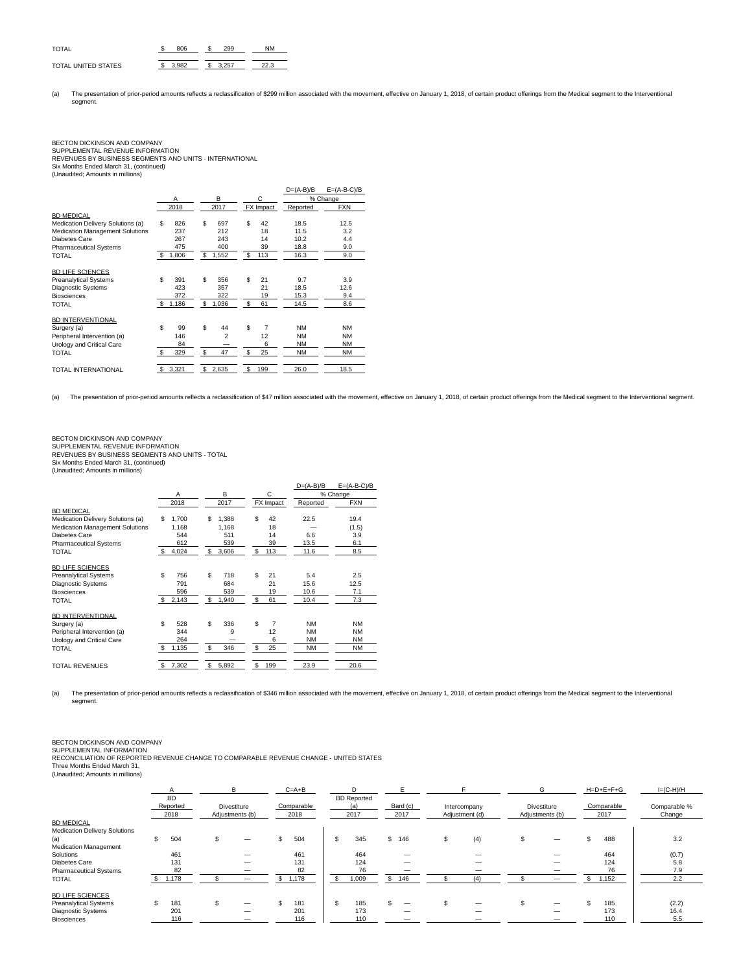| <b>TOTAL</b>        |  | 9Q. |  |
|---------------------|--|-----|--|
| TOTAL UNITED STATES |  | 257 |  |

(a) The presentation of prior-period amounts reflects a reclassification of \$299 million associated with the movement, effective on January 1, 2018, of certain product offerings from the Medical segment to the Intervention segment.

## BECTON DICKINSON AND COMPANY SUPPLEMENTAL REVENUE INFORMATION

REVENUES BY BUSINESS SEGMENTS AND UNITS - INTERNATIONAL Six Months Ended March 31, (continued) (Unaudited; Amounts in millions)

|                                        |    |       |                |     |           | $D=(A-B)/B$ | $E=(A-B-C)/B$ |
|----------------------------------------|----|-------|----------------|-----|-----------|-------------|---------------|
|                                        |    | Α     | B              |     | C         |             | % Change      |
|                                        |    | 2018  | 2017           |     | FX Impact | Reported    | <b>FXN</b>    |
| <b>BD MEDICAL</b>                      |    |       |                |     |           |             |               |
| Medication Delivery Solutions (a)      | S  | 826   | \$<br>697      | \$. | 42        | 18.5        | 12.5          |
| <b>Medication Management Solutions</b> |    | 237   | 212            |     | 18        | 11.5        | 3.2           |
| Diabetes Care                          |    | 267   | 243            |     | 14        | 10.2        | 4.4           |
| <b>Pharmaceutical Systems</b>          |    | 475   | 400            |     | 39        | 18.8        | 9.0           |
| TOTAL                                  | \$ | 1,806 | \$<br>1,552    | \$  | 113       | 16.3        | 9.0           |
| <b>BD LIFE SCIENCES</b>                |    |       |                |     |           |             |               |
| <b>Preanalytical Systems</b>           | S  | 391   | \$<br>356      | \$. | 21        | 9.7         | 3.9           |
| <b>Diagnostic Systems</b>              |    | 423   | 357            |     | 21        | 18.5        | 12.6          |
| <b>Biosciences</b>                     |    | 372   | 322            |     | 19        | 15.3        | 9.4           |
| TOTAL                                  | S  | 1,186 | \$<br>1,036    | \$  | 61        | 14.5        | 8.6           |
| <b>BD INTERVENTIONAL</b>               |    |       |                |     |           |             |               |
| Surgery (a)                            | S  | 99    | \$<br>44       | \$  | 7         | <b>NM</b>   | <b>NM</b>     |
| Peripheral Intervention (a)            |    | 146   | $\overline{a}$ |     | 12        | <b>NM</b>   | <b>NM</b>     |
| Urology and Critical Care              |    | 84    |                |     | 6         | <b>NM</b>   | <b>NM</b>     |
| TOTAL                                  | -S | 329   | \$<br>47       | \$  | 25        | <b>NM</b>   | <b>NM</b>     |
| TOTAL INTERNATIONAL                    | S  | 3,321 | \$<br>2,635    | \$  | 199       | 26.0        | 18.5          |

(a) The presentation of prior-period amounts reflects a reclassification of \$47 million associated with the movement, effective on January 1, 2018, of certain product offerings from the Medical segment to the Interventiona

## BECTON DICKINSON AND COMPANY SUPPLEMENTAL REVENUE INFORMATION REVENUES BY BUSINESS SEGMENTS AND UNITS - TOTAL Six Months Ended March 31, (continued) (Unaudited; Amounts in millions)

|                                        |                                  |             |                      | $D=(A-B)/B$ | $E=(A-B-C)/B$ |
|----------------------------------------|----------------------------------|-------------|----------------------|-------------|---------------|
|                                        | Α                                | B           | C                    |             | % Change      |
|                                        | 2018                             | 2017        | FX Impact            | Reported    | <b>FXN</b>    |
| <b>BD MEDICAL</b>                      |                                  |             |                      |             |               |
| Medication Delivery Solutions (a)      | S<br>1,700                       | S<br>1.388  | \$<br>42             | 22.5        | 19.4          |
| <b>Medication Management Solutions</b> | 1,168                            | 1.168       | 18                   |             | (1.5)         |
| Diabetes Care                          | 544                              | 511         | 14                   | 6.6         | 3.9           |
| <b>Pharmaceutical Systems</b>          | 612                              | 539         | 39                   | 13.5        | 6.1           |
| TOTAL                                  | $\mathbf{\mathfrak{F}}$<br>4,024 | 3,606<br>S  | \$<br>113            | 11.6        | 8.5           |
| <b>BD LIFE SCIENCES</b>                |                                  |             |                      |             |               |
| <b>Preanalytical Systems</b>           | \$<br>756                        | \$<br>718   | \$.<br>21            | 5.4         | 2.5           |
| <b>Diagnostic Systems</b>              | 791                              | 684         | 21                   | 15.6        | 12.5          |
| <b>Biosciences</b>                     | 596                              | 539         | 19                   | 10.6        | 7.1           |
| TOTAL                                  | \$<br>2,143                      | 1,940<br>\$ | \$<br>61             | 10.4        | 7.3           |
| <b>BD INTERVENTIONAL</b>               |                                  |             |                      |             |               |
| Surgery (a)                            | \$.<br>528                       | \$<br>336   | \$<br>$\overline{7}$ | <b>NM</b>   | <b>NM</b>     |
| Peripheral Intervention (a)            | 344                              | 9           | 12                   | <b>NM</b>   | <b>NM</b>     |
| Urology and Critical Care              | 264                              |             | 6                    | <b>NM</b>   | <b>NM</b>     |
| TOTAL                                  | 1,135<br>-S                      | \$<br>346   | 25<br>\$             | <b>NM</b>   | <b>NM</b>     |
| <b>TOTAL REVENUES</b>                  | 7,302<br>\$                      | \$<br>5,892 | \$<br>199            | 23.9        | 20.6          |

(a) The presentation of prior-period amounts reflects a reclassification of \$346 million associated with the movement, effective on January 1, 2018, of certain product offerings from the Medical segment to the Intervention segment.

BECTON DICKINSON AND COMPANY

SUPPLEMENTAL INFORMATION RECONCILIATION OF REPORTED REVENUE CHANGE TO COMPARABLE REVENUE CHANGE - UNITED STATES

Three Months Ended March 31, (Unaudited; Amounts in millions)

|                                      |           | B                        | $C = A + B$ |                    |          |                | G                  |    | $H = D + E + F + G$ | $I=(C-H)/H$  |       |
|--------------------------------------|-----------|--------------------------|-------------|--------------------|----------|----------------|--------------------|----|---------------------|--------------|-------|
|                                      | <b>BD</b> |                          |             | <b>BD</b> Reported |          |                |                    |    |                     |              |       |
|                                      | Reported  | Divestiture              | Comparable  | (a                 | Bard (c) | Intercompany   | <b>Divestiture</b> |    | Comparable          | Comparable % |       |
|                                      | 2018      | Adjustments (b)          | 2018        | 2017               | 2017     | Adjustment (d) | Adjustments (b)    |    | 2017                | Change       |       |
| <b>BD MEDICAL</b>                    |           |                          |             |                    |          |                |                    |    |                     |              |       |
| <b>Medication Delivery Solutions</b> |           |                          |             |                    |          |                |                    |    |                     |              |       |
| (a)                                  | 504       | —                        | 504         | \$<br>345          | \$ 146   | (4)            |                    |    | 488                 |              | 3.2   |
| Medication Management                |           |                          |             |                    |          |                |                    |    |                     |              |       |
| Solutions                            | 461       | —                        | 461         | 464                |          |                |                    |    | 464                 |              | (0.7) |
| Diabetes Care                        | 131       | $\overline{\phantom{m}}$ | 131         | 124                |          |                |                    |    | 124                 |              | 5.8   |
| <b>Pharmaceutical Systems</b>        | 82        | -                        | 82          | 76                 |          |                |                    |    | 76                  |              | 7.9   |
| TOTAL                                | \$1,178   |                          | \$<br>1,178 | \$<br>1,009        | \$146    |                |                    | \$ | 1,152               |              | 2.2   |
| <b>BD LIFE SCIENCES</b>              |           |                          |             |                    |          |                |                    |    |                     |              |       |
| <b>Preanalytical Systems</b>         | 181       | —                        | 181         | \$<br>185          |          |                |                    |    | 185                 |              | (2.2) |
| Diagnostic Systems                   | 201       | $\overline{\phantom{m}}$ | 201         | 173                |          |                |                    |    | 173                 |              | 16.4  |
| <b>Biosciences</b>                   | 116       |                          | 116         | 110                |          |                |                    |    | 110                 |              | 5.5   |
|                                      |           |                          |             |                    |          |                |                    |    |                     |              |       |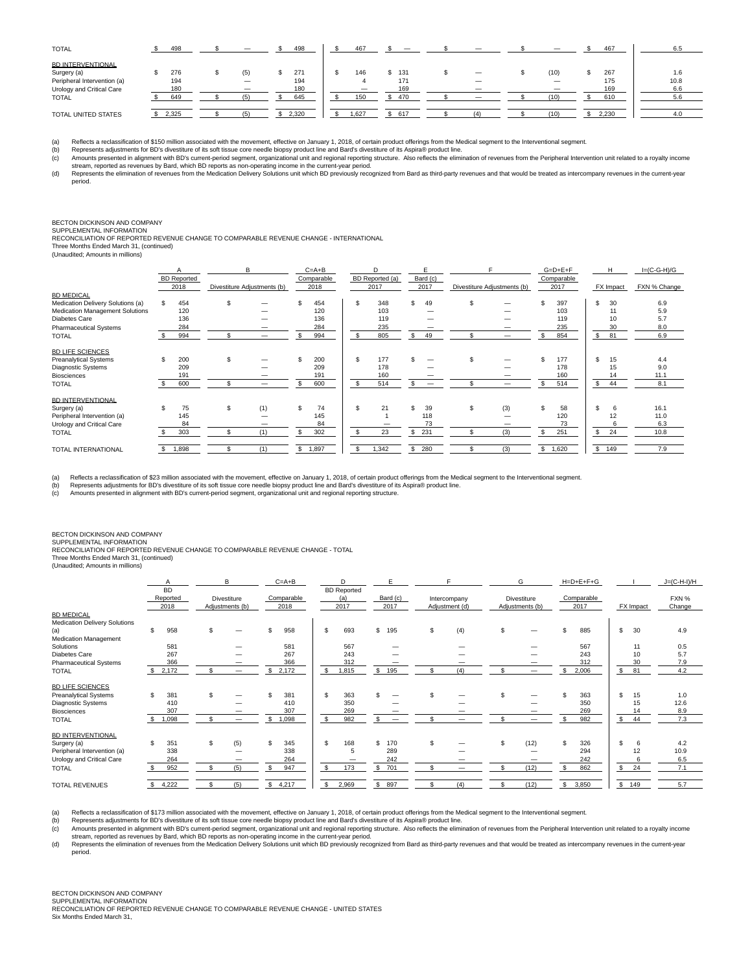| <b>TOTAL</b>                                                                                                        | 498                      | -                        | 498                      | 467        |                          |  |                   | 467                      | 6.5                       |
|---------------------------------------------------------------------------------------------------------------------|--------------------------|--------------------------|--------------------------|------------|--------------------------|--|-------------------|--------------------------|---------------------------|
| <b>BD INTERVENTIONAL</b><br>Surgery (a)<br>Peripheral Intervention (a)<br>Urology and Critical Care<br><b>TOTAL</b> | 276<br>194<br>180<br>649 | (5)<br>$\qquad \qquad -$ | 271<br>194<br>180<br>645 | 146<br>150 | 131<br>171<br>169<br>470 |  | (10)<br>—<br>(10) | 267<br>175<br>169<br>610 | 1.6<br>10.8<br>6.6<br>5.6 |
| TOTAL UNITED STATES                                                                                                 | 2,325                    |                          | 2,320                    | .627       | 617                      |  | (10)              | 2,230                    | 4.0                       |

(a) Reflects a reclassification of \$150 million associated with the movement, effective on January 1, 2018, of certain product offerings from the Medical segment to the Interventional segment.<br>(b) Represents adjustments fo

(c) Amounts presented in alignment with BD's current-period segment, organizational unit and regional reporning structure. Also reflects the elimination of revenues from the Peripheral Intervention unit related to a royalt

(d) Represents the elimination of revenues from the Medication Delivery Solutions unit which BD previously recognized from Bard as third-party revenues and that would be treated as intercompany revenues in the current-year period.

## BECTON DICKINSON AND COMPANY SUPPLEMENTAL INFORMATION

RECONCILIATION OF REPORTED REVENUE CHANGE TO COMPARABLE REVENUE CHANGE - INTERNATIONAL Three Months Ended March 31, (continued)

(Unaudited; Amounts in millions)

|     |     |                                            |     |                                         |     |                                                   | D   |                                  |                          |                                            |     |                                           |     |                                          | H  | $I=(C-G-H)/G$    |
|-----|-----|--------------------------------------------|-----|-----------------------------------------|-----|---------------------------------------------------|-----|----------------------------------|--------------------------|--------------------------------------------|-----|-------------------------------------------|-----|------------------------------------------|----|------------------|
|     |     |                                            |     |                                         |     |                                                   |     |                                  |                          |                                            |     |                                           |     |                                          |    | FXN % Change     |
|     |     |                                            |     |                                         |     |                                                   |     |                                  |                          |                                            |     |                                           |     |                                          |    |                  |
| \$. | 454 |                                            |     | £.                                      | 454 |                                                   | 348 | ፍ                                | 49                       | \$.                                        |     |                                           | 397 | £.                                       | 30 | 6.9              |
|     |     |                                            |     |                                         |     |                                                   | 103 |                                  |                          |                                            |     |                                           | 103 |                                          | 11 | 5.9              |
|     | 136 |                                            |     |                                         | 136 |                                                   | 119 |                                  |                          |                                            |     |                                           | 119 |                                          | 10 | 5.7              |
|     | 284 |                                            |     |                                         | 284 |                                                   | 235 |                                  |                          |                                            |     |                                           | 235 |                                          | 30 | 8.0              |
|     | 994 |                                            |     |                                         | 994 |                                                   | 805 |                                  | 49                       |                                            | -   |                                           | 854 | \$                                       | 81 | 6.9              |
|     |     |                                            |     |                                         |     |                                                   |     |                                  |                          |                                            |     |                                           |     |                                          |    |                  |
| \$. | 200 |                                            |     |                                         | 200 | \$.                                               | 177 |                                  |                          | \$.                                        |     |                                           | 177 | \$.                                      | 15 | 4.4              |
|     | 209 |                                            |     |                                         | 209 |                                                   | 178 |                                  |                          |                                            |     |                                           | 178 |                                          | 15 | 9.0              |
|     | 191 |                                            |     |                                         | 191 |                                                   | 160 |                                  |                          |                                            |     |                                           | 160 |                                          | 14 | 11.1             |
|     | 600 |                                            |     |                                         | 600 | \$.                                               | 514 |                                  | $\overline{\phantom{m}}$ |                                            |     |                                           | 514 | \$                                       | 44 | 8.1              |
|     |     |                                            |     |                                         |     |                                                   |     |                                  |                          |                                            |     |                                           |     |                                          |    |                  |
| \$. | 75  | \$.                                        |     | \$.                                     | 74  | \$.                                               | 21  |                                  | 39                       | \$.                                        |     | S                                         | 58  | \$.                                      | 6  | 16.1             |
|     | 145 |                                            |     |                                         | 145 |                                                   |     |                                  |                          |                                            |     |                                           | 120 |                                          | 12 | 11.0             |
|     | 84  |                                            |     |                                         | 84  |                                                   |     |                                  | 73                       |                                            |     |                                           | 73  |                                          | 6  | 6.3              |
|     | 303 |                                            | (1) | \$.                                     | 302 |                                                   | 23  | S                                |                          |                                            | (3) |                                           | 251 | s.                                       | 24 | 10.8             |
| s.  |     |                                            | (1) | \$                                      |     |                                                   |     | \$                               |                          |                                            |     |                                           |     |                                          |    | 7.9              |
|     |     | <b>BD</b> Reported<br>2018<br>120<br>898,1 |     | B<br>Divestiture Adjustments (b)<br>(1) |     | $C = A + B$<br>Comparable<br>2018<br>120<br>1,897 |     | BD Reported (a)<br>2017<br>1,342 |                          | E<br>Bard (c)<br>2017<br>118<br>231<br>280 |     | Divestiture Adjustments (b)<br>(3)<br>(3) | \$  | $G=D+E+F$<br>Comparable<br>2017<br>1,620 | \$ | FX Impact<br>149 |

(a) Reflects a reclassification of \$23 million associated with the movement, effective on January 1, 2018, of certain product offerings from the Medical segment to the Interventional segment.<br>(b) Represents adjustments for

(b) Represents adjustments for BD's divestiture of its soft tissue core needle biopsy product line and Bard's divestiture of its Aspira® product line.<br>(c) Amounts presented in alignment with BD's current-period segment, o

#### BECTON DICKINSON AND COMPANY SUPPLEMENTAL INFORMATION

RECONCILIATION OF REPORTED REVENUE CHANGE TO COMPARABLE REVENUE CHANGE - TOTAL

Three Months Ended March 31, (continued)

(Unaudited; Amounts in millions)

|                                                           | Α                     | B               | $C = A + B$ | n                         | E         |                | G               | $H=D+E+F+G$ |           | $J=(C-H-I)/H$ |
|-----------------------------------------------------------|-----------------------|-----------------|-------------|---------------------------|-----------|----------------|-----------------|-------------|-----------|---------------|
|                                                           | <b>BD</b><br>Reported | Divestiture     | Comparable  | <b>BD</b> Reported<br>(a) | Bard (c)  | Intercompany   | Divestiture     | Comparable  |           | FXN %         |
|                                                           | 2018                  | Adjustments (b) | 2018        | 2017                      | 2017      | Adjustment (d) | Adjustments (b) | 2017        | FX Impact | Change        |
| <b>BD MEDICAL</b><br><b>Medication Delivery Solutions</b> |                       |                 |             |                           |           |                |                 |             |           |               |
| (a)<br>Medication Management                              | 958                   | \$              | \$.<br>958  | 693<br>£.                 | 195<br>S. | (4)<br>\$.     | \$.             | 885<br>ዴ    | 30<br>\$  | 4.9           |
| Solutions                                                 | 581                   |                 | 581         | 567                       |           |                |                 | 567         | 11        | 0.5           |
| Diabetes Care                                             | 267                   |                 | 267         | 243                       |           |                |                 | 243         | 10        | 5.7           |
| <b>Pharmaceutical Systems</b>                             | 366                   |                 | 366         | 312                       |           |                |                 | 312         | 30        | 7.9           |
| <b>TOTAL</b>                                              | \$2,172               | S               | \$2,172     | 1,815<br>\$               | 195<br>S. | (4)<br>\$.     | \$              | 2,006<br>\$ | \$<br>81  | 4.2           |
| <b>BD LIFE SCIENCES</b>                                   |                       |                 |             |                           |           |                |                 |             |           |               |
| <b>Preanalytical Systems</b>                              | \$.<br>381            |                 | 381         | 363<br>\$                 |           |                |                 | 363         | S<br>15   | 1.0           |
| <b>Diagnostic Systems</b>                                 | 410                   |                 | 410         | 350                       |           |                |                 | 350         | 15        | 12.6          |
| <b>Biosciences</b>                                        | 307                   |                 | 307         | 269                       |           |                |                 | 269         | 14        | 8.9           |
| <b>TOTAL</b>                                              | 1,098<br>s.           | £.              | 1,098       | 982<br>\$                 |           |                |                 | 982         | s.<br>44  | 7.3           |
| <b>BD INTERVENTIONAL</b>                                  |                       |                 |             |                           |           |                |                 |             |           |               |
| Surgery (a)                                               | £.<br>351             | (5)<br>S.       | \$.<br>345  | 168<br>£.                 | 170<br>S  | \$.            | (12)            | \$<br>326   | \$<br>6   | 4.2           |
| Peripheral Intervention (a)                               | 338                   |                 | 338         | 5                         | 289       |                |                 | 294         | 12        | 10.9          |
| Urology and Critical Care                                 | 264                   |                 | 264         |                           | 242       |                |                 | 242         |           | 6.5           |
| <b>TOTAL</b>                                              | 952                   | \$.<br>(5)      | 947         | 173<br>\$.                | 701<br>S. | £.             | (12)<br>ፍ       | 862         | 24<br>\$  | 7.1           |
| <b>TOTAL REVENUES</b>                                     | 4,222                 | (5)<br>\$       | 4,217<br>s. | 2,969<br>\$               | 897       | \$.<br>(4)     | (12)            | \$<br>3,850 | \$<br>149 | 5.7           |

(a) Reflects a reclassification of \$173 million associated with the movement, effective on January 1, 2018, of certain product offerings from the Medical segment to the Interventional segment.

(b) Represents adjustments for BD's divestiture of its soft tissue core needle biopsy product line and Bard's divestiture of its Aspira® product line.<br>(c) Amounts presented in alignment with BD's current-period segment, or

(c) Amounts presented in alignment with BD's current-period segment, organizational unit and regional reporning structure. Also reflects the elimination of revenues from the Peripheral Intervention unit related to a royalt

(d) Represents the elimination of revenues from the Medication Delivery Solutions unit which BD previously recognized from Bard as third-party revenues and that would be treated as intercompany revenues in the current-year period.

### BECTON DICKINSON AND COMPANY

SUPPLEMENTAL INFORMATION

RECONCILIATION OF REPORTED REVENUE CHANGE TO COMPARABLE REVENUE CHANGE - UNITED STATES Six Months Ended March 31,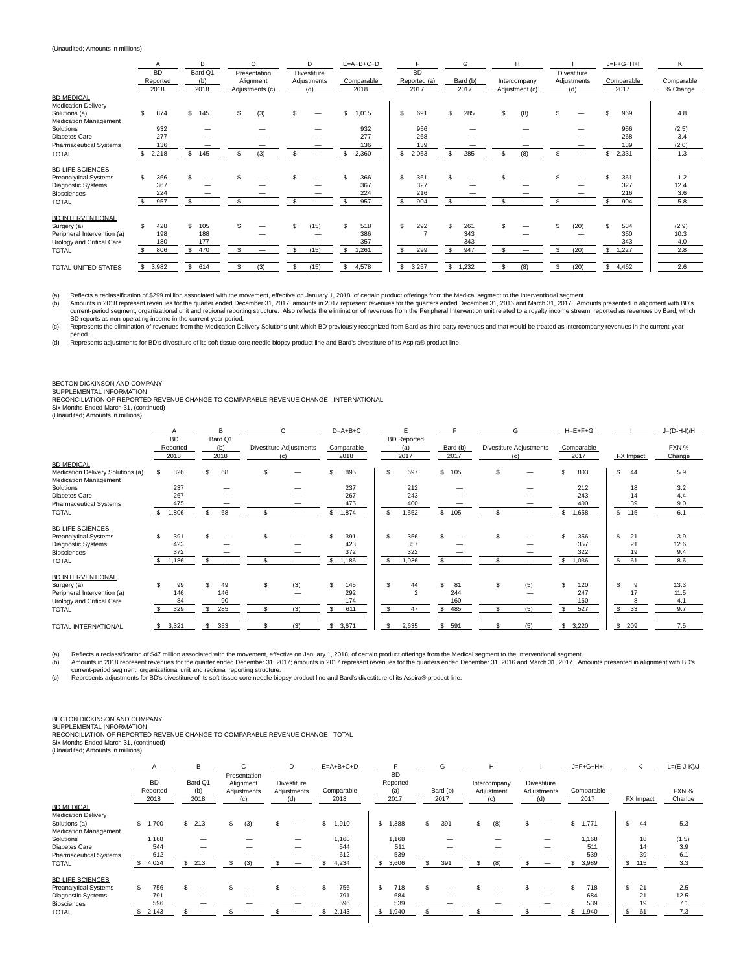### (Unaudited; Amounts in millions)

|                                                                  |     | A                             |     | B                      |    | $\mathsf{C}$                                 |     | <sub>D</sub>                             |    | $E=A+B+C+D$        |     |                                   | G                | Н                              |     |                                   |              | $J = F + G + H + I$ | K                      |
|------------------------------------------------------------------|-----|-------------------------------|-----|------------------------|----|----------------------------------------------|-----|------------------------------------------|----|--------------------|-----|-----------------------------------|------------------|--------------------------------|-----|-----------------------------------|--------------|---------------------|------------------------|
|                                                                  |     | <b>BD</b><br>Reported<br>2018 |     | Bard Q1<br>(b)<br>2018 |    | Presentation<br>Alignment<br>Adjustments (c) |     | <b>Divestiture</b><br>Adjustments<br>(d) |    | Comparable<br>2018 |     | <b>BD</b><br>Reported (a)<br>2017 | Bard (b)<br>2017 | Intercompany<br>Adjustment (c) |     | Divestiture<br>Adjustments<br>(d) |              | Comparable<br>2017  | Comparable<br>% Change |
| <b>BD MEDICAL</b><br><b>Medication Delivery</b><br>Solutions (a) | \$. | 874                           | \$  | 145                    | \$ | (3)                                          |     |                                          | S. | 1,015              | S.  | 691                               | 285              | \$<br>(8)                      |     |                                   |              | 969                 | 4.8                    |
| <b>Medication Management</b>                                     |     |                               |     |                        |    |                                              |     |                                          |    |                    |     |                                   |                  |                                |     |                                   |              |                     |                        |
| Solutions                                                        |     | 932                           |     |                        |    |                                              |     |                                          |    | 932                |     | 956                               |                  |                                |     |                                   |              | 956                 | (2.5)                  |
| Diabetes Care                                                    |     | 277                           |     |                        |    |                                              |     |                                          |    | 277                |     | 268                               |                  |                                |     |                                   |              | 268                 | 3.4                    |
| <b>Pharmaceutical Systems</b>                                    |     | 136                           |     |                        |    |                                              |     |                                          |    | 136                |     | 139                               |                  |                                |     |                                   |              | 139                 | (2.0)                  |
| <b>TOTAL</b>                                                     |     | 2,218                         | \$  | 145                    |    | (3)                                          |     |                                          |    | 2,360              | \$. | 2,053                             | 285              | (8)                            |     |                                   | S            | 2,331               | 1.3                    |
| <b>BD LIFE SCIENCES</b>                                          |     |                               |     |                        |    |                                              |     |                                          |    |                    |     |                                   |                  |                                |     |                                   |              |                     |                        |
| <b>Preanalytical Systems</b>                                     | \$  | 366                           |     |                        |    |                                              |     |                                          |    | 366                | \$  | 361                               |                  |                                |     |                                   |              | 361                 | 1.2                    |
| Diagnostic Systems                                               |     | 367                           |     |                        |    |                                              |     |                                          |    | 367                |     | 327                               |                  |                                |     |                                   |              | 327                 | 12.4                   |
| Biosciences                                                      |     | 224                           |     |                        |    |                                              |     |                                          |    | 224                |     | 216                               |                  |                                |     |                                   |              | 216                 | 3.6                    |
| <b>TOTAL</b>                                                     |     | 957                           | \$  |                        | ፍ  |                                              | \$. |                                          |    | 957                | s.  | 904                               | \$               | \$                             | \$. |                                   | s.           | 904                 | 5.8                    |
| <b>BD INTERVENTIONAL</b>                                         |     |                               |     |                        |    |                                              |     |                                          |    |                    |     |                                   |                  |                                |     |                                   |              |                     |                        |
| Surgery (a)                                                      | ፍ   | 428                           | \$. | 105                    |    |                                              |     | (15)                                     |    | 518                | S.  | 292                               | 261              |                                |     | (20)                              |              | 534                 | (2.9)                  |
| Peripheral Intervention (a)                                      |     | 198                           |     | 188                    |    |                                              |     |                                          |    | 386                |     |                                   | 343              |                                |     |                                   |              | 350                 | 10.3                   |
| Urology and Critical Care                                        |     | 180                           |     | 177                    |    |                                              |     | -                                        |    | 357                |     |                                   | 343              |                                |     |                                   |              | 343                 | 4.0                    |
| <b>TOTAL</b>                                                     |     | 806                           | \$  | 470                    |    |                                              |     | (15)                                     |    | 1,261              | \$. | 299                               | 947              | -                              | \$. | (20)                              | \$           | 1,227               | 2.8                    |
| TOTAL UNITED STATES                                              |     | 3,982                         | \$  | 614                    |    | (3)                                          |     | (15)                                     | s. | 4,578              | s.  | 3,257                             | \$<br>1,232      | \$<br>(8)                      | \$  | (20)                              | $\mathbb{S}$ | 4,462               | 2.6                    |

(a) Reflects a reclassification of \$299 million associated with the movement, effective on January 1, 2018, of certain product offerings from the Medical segment to the Interventional segment.<br>(b) Amounts in 2018 represent (b) Amounts in 2018 represent revenues for the quarter ended December 31, 2017; amounts in 2017 represent revenues for the quarters ended December 31, 2016 and March 31, 2017. Amounts presented in alignment with BD's<br>curre

BD reports as non-operating income in the current-year period.<br>(c) Represents the elimination of revenues from the Medication Delivery Solutions unit which BD previously recognized from Bard as third-party revenues and tha period.

(d) Represents adjustments for BD's divestiture of its soft tissue core needle biopsy product line and Bard's divestiture of its Aspira® product line.

### BECTON DICKINSON AND COMPANY

SUPPLEMENTAL INFORMATION RECONCILIATION OF REPORTED REVENUE CHANGE TO COMPARABLE REVENUE CHANGE - INTERNATIONAL

Six Months Ended March 31, (continued) (Unaudited; Amounts in millions)

| (Unduction, Announts in millions) |  |  |
|-----------------------------------|--|--|
|                                   |  |  |

|                                   |    | A         |     | B       |     | C                        |    | $D=A+B+C$  |                         |                         |                          |     | G                       |    | $H = E + F + G$ |     |           | $J=(D-H-I)/H$ |  |
|-----------------------------------|----|-----------|-----|---------|-----|--------------------------|----|------------|-------------------------|-------------------------|--------------------------|-----|-------------------------|----|-----------------|-----|-----------|---------------|--|
|                                   |    | <b>BD</b> |     | Bard Q1 |     |                          |    |            |                         | <b>BD</b> Reported      |                          |     |                         |    |                 |     |           |               |  |
|                                   |    | Reported  |     | (b)     |     | Divestiture Adjustments  |    | Comparable |                         | (a)                     | Bard (b)                 |     | Divestiture Adjustments |    | Comparable      |     |           | FXN %         |  |
|                                   |    | 2018      |     | 2018    |     | (c)                      |    | 2018       |                         | 2017                    | 2017                     |     | (c)                     |    | 2017            |     | FX Impact | Change        |  |
| <b>BD MEDICAL</b>                 |    |           |     |         |     |                          |    |            |                         |                         |                          |     |                         |    |                 |     |           |               |  |
| Medication Delivery Solutions (a) | S. | 826       | \$. | 68      | \$  |                          |    | 895        | -S                      | 697                     | \$ 105                   | \$. |                         | S. | 803             | \$. | 44        | 5.9           |  |
| Medication Management             |    |           |     |         |     |                          |    |            |                         |                         |                          |     |                         |    |                 |     |           |               |  |
| Solutions                         |    | 237       |     |         |     |                          |    | 237        |                         | 212                     |                          |     |                         |    | 212             |     | 18        | 3.2           |  |
| Diabetes Care                     |    | 267       |     |         |     |                          |    | 267        |                         | 243                     |                          |     |                         |    | 243             |     | 14        | 4.4           |  |
| <b>Pharmaceutical Systems</b>     |    | 475       |     |         |     | -                        |    | 475        |                         | 400                     |                          |     |                         |    | 400             |     | 39        | 9.0           |  |
| <b>TOTAL</b>                      |    | .806      |     | 68      | \$. |                          | \$ | 1,874      | -S                      | 1,552                   | 105                      | \$  |                         |    | 1,658           |     | \$ 115    | 6.1           |  |
| <b>BD LIFE SCIENCES</b>           |    |           |     |         |     |                          |    |            |                         |                         |                          |     |                         |    |                 |     |           |               |  |
| <b>Preanalytical Systems</b>      | S  | 391       |     |         | S   |                          |    | 391        | $\mathbf{S}$            | 356                     |                          |     |                         |    | 356             | \$  | 21        | 3.9           |  |
| <b>Diagnostic Systems</b>         |    | 423       |     |         |     |                          |    | 423        |                         | 357                     |                          |     |                         |    | 357             |     | 21        | 12.6          |  |
| Biosciences                       |    | 372       |     |         |     | $\overline{\phantom{a}}$ |    | 372        |                         | 322                     |                          |     |                         |    | 322             |     | 19        | 9.4           |  |
| <b>TOTAL</b>                      |    | ,186      |     |         | £.  |                          | S. | 1.186      | $\mathbf{\mathfrak{F}}$ | 1,036                   | $\overline{\phantom{a}}$ |     |                         |    | 1.036           | \$. | 61        | 8.6           |  |
| <b>BD INTERVENTIONAL</b>          |    |           |     |         |     |                          |    |            |                         |                         |                          |     |                         |    |                 |     |           |               |  |
| Surgery (a)                       |    | 99        |     | 49      | \$  | (3)                      |    | 145        | \$                      | 44                      | 81                       | \$  | (5)                     | S. | 120             | \$  | 9         | 13.3          |  |
| Peripheral Intervention (a)       |    | 146       |     | 146     |     |                          |    | 292        |                         | $\overline{\mathbf{c}}$ | 244                      |     |                         |    | 247             |     | 17        | 11.5          |  |
| Urology and Critical Care         |    | 84        |     | 90      |     |                          |    | 174        |                         |                         | 160                      |     |                         |    | 160             |     |           | 4.1           |  |
| <b>TOTAL</b>                      |    | 329       | \$  | 285     | \$  | (3)                      |    | 611        | \$                      | 47                      | 485                      |     | (5)                     |    | 527             | \$  | 33        | 9.7           |  |
|                                   |    |           |     |         |     |                          |    |            |                         |                         |                          |     |                         |    |                 |     |           |               |  |
| <b>TOTAL INTERNATIONAL</b>        | s. | 3,321     | \$  | 353     | \$. | (3)                      | \$ | 3,671      | \$                      | 2,635                   | \$<br>591                |     | (5)                     | s. | 3,220           |     | \$ 209    | 7.5           |  |

(a) Reflects a reclassification of \$47 million associated with the movement, effective on January 1, 2018, of certain product offerings from the Medical segment to the Interventional segment.<br>(b) Amounts in 2018 represent

current-period segment, organizational unit and regional reporting structure.<br>↓● Represents adjustments for BD's divestiture of its soft tissue core needle biopsy product line and Bard's divestiture of its Aspira® product

## BECTON DICKINSON AND COMPANY SUPPLEMENTAL INFORMATION

RECONCILIATION OF REPORTED REVENUE CHANGE TO COMPARABLE REVENUE CHANGE - TOTAL Six Months Ended March 31, (continued)

(Unaudited; Amounts in millions)

|                                               |              | Α                             | B                      | $\mathcal{C}$                                   | D                                 | $E=A+B+C+D$        |      | <b>BD</b>               |    | G                | H                                 |                                          |    | $J = F + G + H + I$ |    | K         | $L=(E-J-K)/J$   |  |
|-----------------------------------------------|--------------|-------------------------------|------------------------|-------------------------------------------------|-----------------------------------|--------------------|------|-------------------------|----|------------------|-----------------------------------|------------------------------------------|----|---------------------|----|-----------|-----------------|--|
| <b>BD MEDICAL</b>                             |              | <b>BD</b><br>Reported<br>2018 | Bard Q1<br>(b)<br>2018 | Presentation<br>Alignment<br>Adjustments<br>(c) | Divestiture<br>Adjustments<br>(d) | Comparable<br>2018 |      | Reported<br>(a)<br>2017 |    | Bard (b)<br>2017 | Intercompany<br>Adjustment<br>(c) | <b>Divestiture</b><br>Adjustments<br>(d) |    | Comparable<br>2017  |    | FX Impact | FXN %<br>Change |  |
| <b>Medication Delivery</b>                    |              |                               |                        |                                                 |                                   |                    |      |                         |    |                  |                                   |                                          |    |                     |    |           |                 |  |
| Solutions (a)<br><b>Medication Management</b> | $\mathbf{s}$ | 1,700                         | \$213                  | (3)                                             |                                   | 1,910              | \$ 1 | ,388                    | S. | 391              | \$<br>(8)                         |                                          | \$ | 1,771               | \$ | 44        | 5.3             |  |
| Solutions                                     |              | 1,168                         |                        |                                                 |                                   | 1,168              |      | 1,168                   |    |                  |                                   |                                          |    | 1,168               |    | 18        | (1.5)           |  |
| Diabetes Care                                 |              | 544                           |                        |                                                 |                                   | 544                |      | 511                     |    |                  |                                   |                                          |    | 511                 |    | 14        | 3.9             |  |
| <b>Pharmaceutical Systems</b>                 |              | 612                           |                        |                                                 |                                   | 612                |      | 539                     |    |                  | –                                 |                                          |    | 539                 |    | 39        | 6.1             |  |
| <b>TOTAL</b>                                  |              | 4,024                         | \$<br>213              | (3)                                             | –                                 | 4,234              |      | 3,606                   |    | 391              | (8)                               |                                          | s  | 3,989               | \$ | 115       | 3.3             |  |
| <b>BD LIFE SCIENCES</b>                       |              |                               |                        |                                                 |                                   |                    |      |                         |    |                  |                                   |                                          |    |                     |    |           |                 |  |
| <b>Preanalytical Systems</b>                  | \$           | 756                           |                        |                                                 |                                   | 756                | S.   | 718                     |    |                  |                                   |                                          |    | 718                 | s. | 21        | 2.5             |  |
| <b>Diagnostic Systems</b>                     |              | 791                           |                        |                                                 |                                   | 791                |      | 684                     |    |                  |                                   |                                          |    | 684                 |    | 21        | 12.5            |  |
| <b>Biosciences</b>                            |              | 596                           |                        |                                                 |                                   | 596                |      | 539                     |    |                  |                                   |                                          |    | 539                 |    | 19        | 7.1             |  |
| <b>TOTAL</b>                                  |              | 2,143                         |                        |                                                 |                                   | 2,143              | S.   | 1,940                   |    |                  |                                   |                                          |    | 1,940               | s. | 61        | 7.3             |  |
|                                               |              |                               |                        |                                                 |                                   |                    |      |                         |    |                  |                                   |                                          |    |                     |    |           |                 |  |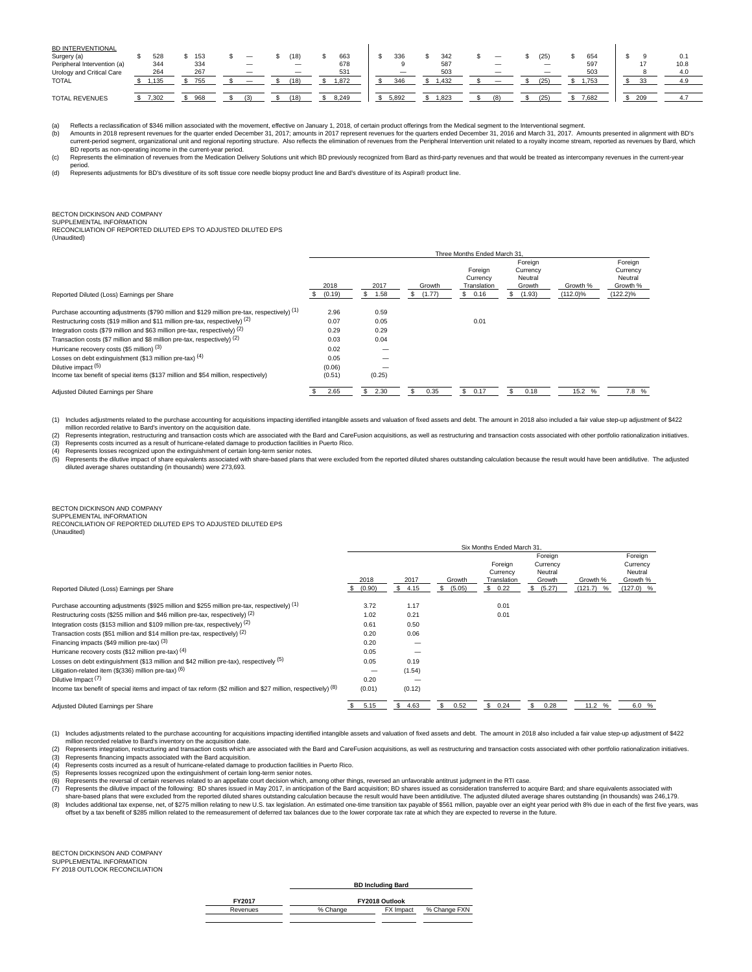| <b>BD INTERVENTIONAL</b><br>Surgery (a)<br>Peripheral Intervention (a)<br>Urology and Critical Care<br><b>TOTAL</b> | 528<br>344<br>264<br>.135 | 153<br>334<br>267<br>755 | $\overline{\phantom{a}}$ | (18)<br>$\qquad \qquad -$<br>(18) | 663<br>678<br>531<br>1.872 | 336<br>346 | 342<br>587<br>503<br>.432 | $\qquad \qquad \longleftarrow$<br>-<br>- | 25<br>$\overline{\phantom{0}}$<br>25' | 654<br>597<br>503<br>.753 | 17  | 0.<br>10.8<br>4.0<br>4.9 |
|---------------------------------------------------------------------------------------------------------------------|---------------------------|--------------------------|--------------------------|-----------------------------------|----------------------------|------------|---------------------------|------------------------------------------|---------------------------------------|---------------------------|-----|--------------------------|
| <b>TOTAL REVENUES</b>                                                                                               | 7,302                     | 968                      |                          | (18)                              | 8.249                      | 5.892      | .823                      |                                          | 251                                   | 7.682                     | 209 |                          |

(a) Reflects a reclassification of \$346 million associated with the movement, effective on January 1, 2018, of certain product offerings from the Medical segment to the Interventional segment.<br>(b) Amounts in 2018 represent current-period segment, organizational unit and regional reporting structure. Also reflects the elimination of revenues from the Peripheral Intervention unit related to a royalty income stream, reported as revenues by Bard

BD reports as non-operating income in the current-year period.<br>(c) Represents the elimination of revenues from the Medication Delivery Solutions unit which BD previously recognized from Bard as third-party revenues and tha

period. (d) Represents adjustments for BD's divestiture of its soft tissue core needle biopsy product line and Bard's divestiture of its Aspira® product line.

#### BECTON DICKINSON AND COMPANY SUPPLEMENTAL INFORMATION

RECONCILIATION OF REPORTED DILUTED EPS TO ADJUSTED DILUTED EPS

(Unaudited)

|                                                                                             |        |        |        | Three Months Ended March 31.       |                                          |             |                                            |
|---------------------------------------------------------------------------------------------|--------|--------|--------|------------------------------------|------------------------------------------|-------------|--------------------------------------------|
|                                                                                             | 2018   | 2017   | Growth | Foreign<br>Currency<br>Translation | Foreign<br>Currency<br>Neutral<br>Growth | Growth %    | Foreign<br>Currency<br>Neutral<br>Growth % |
| Reported Diluted (Loss) Earnings per Share                                                  | (0.19) | 1.58   | (1.77) | 0.16<br>S.                         | (1.93)<br>ж.                             | $(112.0)\%$ | $(122.2)\%$                                |
| Purchase accounting adjustments (\$790 million and \$129 million pre-tax, respectively) (1) | 2.96   | 0.59   |        |                                    |                                          |             |                                            |
| Restructuring costs (\$19 million and \$11 million pre-tax, respectively) (2)               | 0.07   | 0.05   |        | 0.01                               |                                          |             |                                            |
| Integration costs (\$79 million and \$63 million pre-tax, respectively) (2)                 | 0.29   | 0.29   |        |                                    |                                          |             |                                            |
| Transaction costs (\$7 million and \$8 million pre-tax, respectively) $(2)$                 | 0.03   | 0.04   |        |                                    |                                          |             |                                            |
| Hurricane recovery costs (\$5 million) (3)                                                  | 0.02   |        |        |                                    |                                          |             |                                            |
| Losses on debt extinguishment (\$13 million pre-tax) $(4)$                                  | 0.05   |        |        |                                    |                                          |             |                                            |
| Dilutive impact (5)                                                                         | (0.06) |        |        |                                    |                                          |             |                                            |
| Income tax benefit of special items (\$137 million and \$54 million, respectively)          | (0.51) | (0.25) |        |                                    |                                          |             |                                            |
| Adjusted Diluted Earnings per Share                                                         | 2.65   | 2.30   | 0.35   | 0.17<br>S.                         | 0.18                                     | 15.2 %      | 7.8 %                                      |

1) Includes adjustments related to the purchase accounting for acquisitions impacting identified intangible assets and valuation of fixed assets and debt. The amount in 2018 also included a fair value step-up adjustment of

(2) Represents integration, restructuring and transaction costs which are associated with the Bard and CareFusion acquisitions, as well as restructuring and transaction costs associated with other portfolio rationalization

(4) Represents losses recognized upon the extinguishment of certain long-term senior notes.<br>(5) Represents the dilutive impact of share equivalents associated with share-based plans that were excluded from the reported dil

## BECTON DICKINSON AND COMPANY SUPPLEMENTAL INFORMATION

RECONCILIATION OF REPORTED DILUTED EPS TO ADJUSTED DILUTED EPS (Unaudited)

|                                                                                                                 |                |                |                       | Six Months Ended March 31.                   |                                                          |                         |                                                           |
|-----------------------------------------------------------------------------------------------------------------|----------------|----------------|-----------------------|----------------------------------------------|----------------------------------------------------------|-------------------------|-----------------------------------------------------------|
| Reported Diluted (Loss) Earnings per Share                                                                      | 2018<br>(0.90) | 2017<br>\$4.15 | Growth<br>(5.05)<br>S | Foreign<br>Currency<br>Translation<br>\$0.22 | Foreign<br>Currency<br>Neutral<br>Growth<br>(5.27)<br>S. | Growth %<br>$(121.7)$ % | Foreign<br>Currency<br>Neutral<br>Growth %<br>$(127.0)$ % |
| Purchase accounting adjustments (\$925 million and \$255 million pre-tax, respectively) (1)                     | 3.72           | 1.17           |                       | 0.01                                         |                                                          |                         |                                                           |
| Restructuring costs (\$255 million and \$46 million pre-tax, respectively) (2)                                  | 1.02           | 0.21           |                       | 0.01                                         |                                                          |                         |                                                           |
| Integration costs (\$153 million and \$109 million pre-tax, respectively) (2)                                   | 0.61           | 0.50           |                       |                                              |                                                          |                         |                                                           |
| Transaction costs (\$51 million and \$14 million pre-tax, respectively) (2)                                     | 0.20           | 0.06           |                       |                                              |                                                          |                         |                                                           |
| Financing impacts (\$49 million pre-tax) (3)                                                                    | 0.20           |                |                       |                                              |                                                          |                         |                                                           |
| Hurricane recovery costs (\$12 million pre-tax) (4)                                                             | 0.05           |                |                       |                                              |                                                          |                         |                                                           |
| Losses on debt extinguishment (\$13 million and \$42 million pre-tax), respectively (5)                         | 0.05           | 0.19           |                       |                                              |                                                          |                         |                                                           |
| Litigation-related item $(\$$ (336) million pre-tax) $(6)$                                                      |                | (1.54)         |                       |                                              |                                                          |                         |                                                           |
| Dilutive Impact (7)                                                                                             | 0.20           |                |                       |                                              |                                                          |                         |                                                           |
| Income tax benefit of special items and impact of tax reform (\$2 million and \$27 million, respectively) $(8)$ | (0.01)         | (0.12)         |                       |                                              |                                                          |                         |                                                           |
| Adjusted Diluted Earnings per Share                                                                             | 5.15           | \$4.63         | 0.52                  | \$0.24                                       | 0.28<br>S                                                | 11.2 %                  | 6.0 %                                                     |

(1) Includes adjustments related to the purchase accounting for acquisitions impacting identified intangible assets and valuation of fixed assets and debt. The amount in 2018 also included a fair value step-up adjustment o million recorded relative to Bard's inventory on the acquisition date.

(2) Represents integration, restructuring and transaction costs which are associated with the Bard and CareFusion acquisitions, as well as restructuring and transaction costs associated with other portfolio rationalization

Represents financing impacts associated with the Bard acquisition.

(4) Represents costs incurred as a result of hurricane-related damage to production facilities in Puerto Rico.<br>(5) Represents losses recognized upon the extinguishment of certain long-term senior notes.

(5) Represents losses recognized upon the extinguishment of certain long-term senior notes.<br>(6) Represents the reversal of certain reserves related to an appellate court decision which, among other things, reversed an unfa

share-based plans that were excluded from the reported diluted shares outstanding calculation because the result would have been antidilutive. The adjusted diluted average shares outstanding (in thousands) was 246,179.<br>(8) offset by a tax benefit of \$285 million related to the remeasurement of deferred tax balances due to the lower corporate tax rate at which they are expected to reverse in the future.

BECTON DICKINSON AND COMPANY SUPPLEMENTAL INFORMATION FY 2018 OUTLOOK RECONCILIATION

**BD Including Bard**

| FY2017   |          | FY2018 Outlook |              |
|----------|----------|----------------|--------------|
| Revenues | % Change | FX Impact      | % Change FXN |
|          |          |                |              |